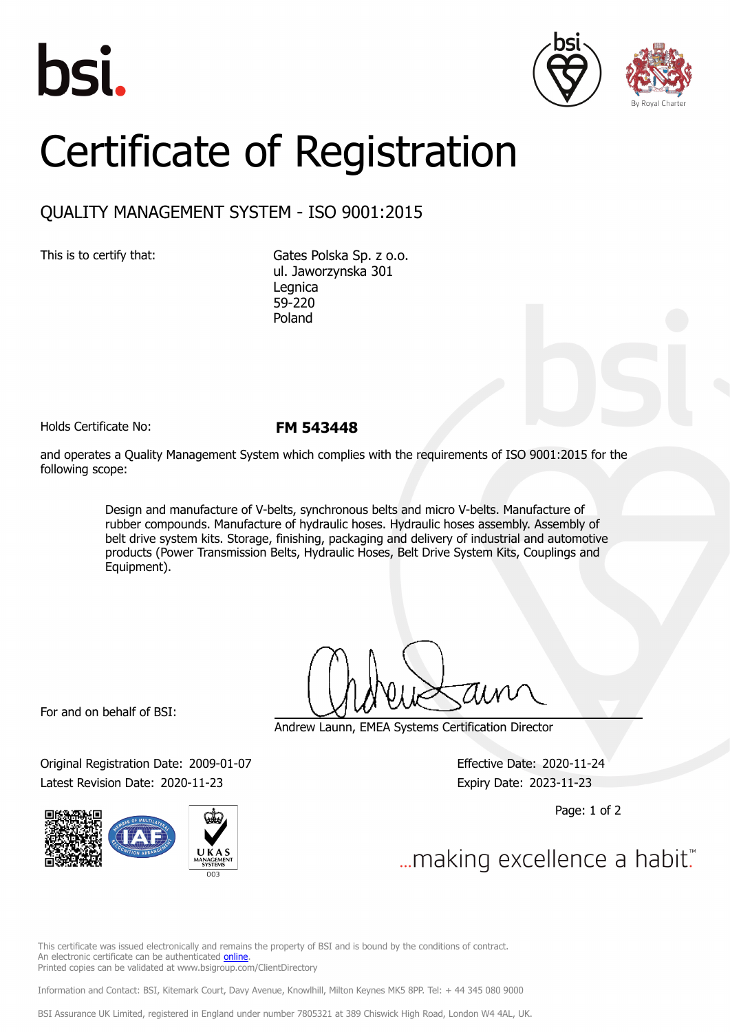





## Certificate of Registration

## QUALITY MANAGEMENT SYSTEM - ISO 9001:2015

This is to certify that: Gates Polska Sp. z o.o. ul. Jaworzynska 301 Legnica 59-220 Poland

Holds Certificate No: **FM 543448**

and operates a Quality Management System which complies with the requirements of ISO 9001:2015 for the following scope:

> Design and manufacture of V-belts, synchronous belts and micro V-belts. Manufacture of rubber compounds. Manufacture of hydraulic hoses. Hydraulic hoses assembly. Assembly of belt drive system kits. Storage, finishing, packaging and delivery of industrial and automotive products (Power Transmission Belts, Hydraulic Hoses, Belt Drive System Kits, Couplings and Equipment).

For and on behalf of BSI:

Original Registration Date: 2009-01-07 Effective Date: 2020-11-24 Latest Revision Date: 2020-11-23 Expiry Date: 2023-11-23



Andrew Launn, EMEA Systems Certification Director

Page: 1 of 2

... making excellence a habit."

This certificate was issued electronically and remains the property of BSI and is bound by the conditions of contract. An electronic certificate can be authenticated [online](https://pgplus.bsigroup.com/CertificateValidation/CertificateValidator.aspx?CertificateNumber=FM+543448&ReIssueDate=23%2f11%2f2020&Template=cemea_en). Printed copies can be validated at www.bsigroup.com/ClientDirectory

Information and Contact: BSI, Kitemark Court, Davy Avenue, Knowlhill, Milton Keynes MK5 8PP. Tel: + 44 345 080 9000

BSI Assurance UK Limited, registered in England under number 7805321 at 389 Chiswick High Road, London W4 4AL, UK.